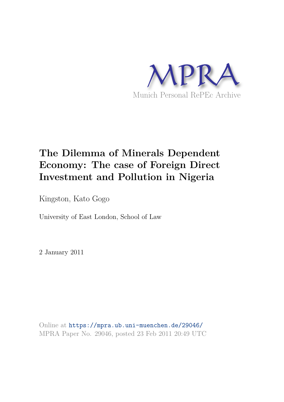

# **The Dilemma of Minerals Dependent Economy: The case of Foreign Direct Investment and Pollution in Nigeria**

Kingston, Kato Gogo

University of East London, School of Law

2 January 2011

Online at https://mpra.ub.uni-muenchen.de/29046/ MPRA Paper No. 29046, posted 23 Feb 2011 20:49 UTC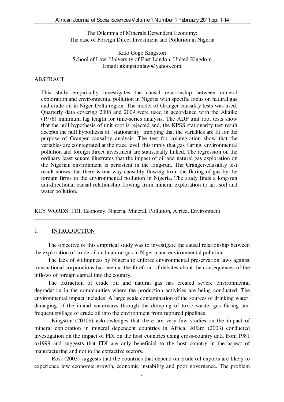The Dilemma of Minerals Dependent Economy: The case of Foreign Direct Investment and Pollution in Nigeria

Kato Gogo Kingston School of Law, University of East London, United Kingdom Email: gkingstonlaw@yahoo.com

#### ABSTRACT

This study empirically investigates the causal relationship between mineral exploration and environmental pollution in Nigeria with specific focus on natural gas and crude oil in Niger Delta region. The model of Granger causality tests was used. Quarterly data covering 2008 and 2009 were used in accordance with the Akaike (1976) minimum lag length for time-series analysis. The ADF unit root tests show that the null hypothesis of unit root is rejected and, the KPSS stationarity test result accepts the null hypothesis of "stationarity" implying that the variables are fit for the purpose of Granger causality analysis. The test for cointegration show that the variables are cointegrated at the trace level; this imply that gas flaring, environmental pollution and foreign direct investment are statistically linked. The regression on the ordinary least square illustrates that the impact of oil and natural gas exploration on the Nigerian environment is persistent in the long-run. The Granger-causality test result shows that there is one-way causality flowing from the flaring of gas by the foreign firms to the environmental pollution in Nigeria. The study finds a long-run uni-directional causal relationship flowing from mineral exploration to air, soil and water pollution.

KEY WORDS: FDI, Economy, Nigeria, Mineral, Pollution, Africa, Environment

#### 1. INTRODUCTION

 The objective of this empirical study was to investigate the causal relationship between the exploration of crude oil and natural gas in Nigeria and environmental pollution.

 The lack of willingness by Nigeria to enforce environmental preservation laws against transnational corporations has been at the forefront of debates about the consequences of the inflows of foreign capital into the country.

 The extraction of crude oil and natural gas has created severe environmental degradation in the communities where the production activities are being conducted. The environmental impact includes: A large scale contamination of the sources of drinking water; damaging of the inland waterways through the dumping of toxic waste; gas flaring and frequent spillage of crude oil into the environment from ruptured pipelines.

Kingston (2010b) acknowledges that there are very few studies on the impact of mineral exploration in mineral dependent countries in Africa. Alfaro (2003) conducted investigation on the impact of FDI on the host countries using cross-country data from 1981 to1999 and suggests that FDI are only beneficial to the host country in the aspect of manufacturing and not to the extractive sectors.

Ross (2003) suggests that the countries that depend on crude oil exports are likely to experience low economic growth, economic instability and poor governance. The problem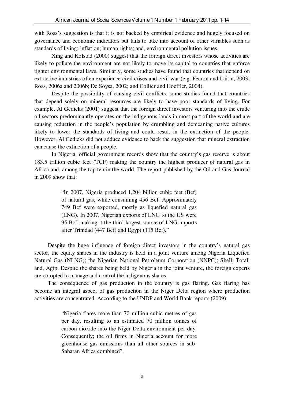with Ross's suggestion is that it is not backed by empirical evidence and hugely focused on governance and economic indicators but fails to take into account of other variables such as standards of living; inflation; human rights; and, environmental pollution issues.

Xing and Kolstad (2000) suggest that the foreign direct investors whose activities are likely to pollute the environment are not likely to move its capital to countries that enforce tighter environmental laws. Similarly, some studies have found that countries that depend on extractive industries often experience civil crises and civil war (e.g. Fearon and Laitin, 2003; Ross, 2006a and 2006b; De Soysa, 2002; and Collier and Hoeffler, 2004).

Despite the possibility of causing civil conflicts, some studies found that countries that depend solely on mineral resources are likely to have poor standards of living. For example, Al Gedicks (2001) suggest that the foreign direct investors venturing into the crude oil sectors predominantly operates on the indigenous lands in most part of the world and are causing reduction in the people's population by crumbling and demeaning native cultures likely to lower the standards of living and could result in the extinction of the people. However, Al Gedicks did not adduce evidence to back the suggestion that mineral extraction can cause the extinction of a people.

In Nigeria, official government records show that the country's gas reserve is about 183.5 trillion cubic feet (TCF) making the country the highest producer of natural gas in Africa and, among the top ten in the world. The report published by the Oil and Gas Journal in 2009 show that:

> "In 2007, Nigeria produced 1,204 billion cubic feet (Bcf) of natural gas, while consuming 456 Bcf. Approximately 749 Bcf were exported, mostly as liquefied natural gas (LNG). In 2007, Nigerian exports of LNG to the US were 95 Bcf, making it the third largest source of LNG imports after Trinidad (447 Bcf) and Egypt (115 Bcf)."

Despite the huge influence of foreign direct investors in the country's natural gas sector, the equity shares in the industry is held in a joint venture among Nigeria Liquefied Natural Gas (NLNG); the Nigerian National Petroleum Corporation (NNPC); Shell; Total; and, Agip. Despite the shares being held by Nigeria in the joint venture, the foreign experts are co-opted to manage and control the indigenous shares.

The consequence of gas production in the country is gas flaring. Gas flaring has become an integral aspect of gas production in the Niger Delta region where production activities are concentrated. According to the UNDP and World Bank reports (2009):

> "Nigeria flares more than 70 million cubic metres of gas per day, resulting to an estimated 70 million tonnes of carbon dioxide into the Niger Delta environment per day. Consequently; the oil firms in Nigeria account for more greenhouse gas emissions than all other sources in sub-Saharan Africa combined".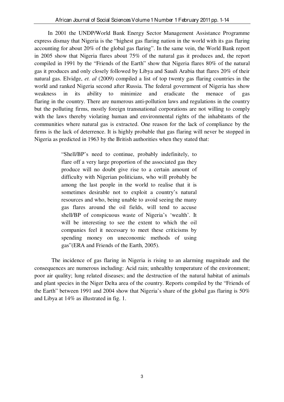In 2001 the UNDP/World Bank Energy Sector Management Assistance Programme express dismay that Nigeria is the "highest gas flaring nation in the world with its gas flaring accounting for about 20% of the global gas flaring". In the same vein, the World Bank report in 2005 show that Nigeria flares about 75% of the natural gas it produces and, the report compiled in 1991 by the "Friends of the Earth" show that Nigeria flares 80% of the natural gas it produces and only closely followed by Libya and Saudi Arabia that flares 20% of their natural gas. Elvidge, *et. al* (2009) compiled a list of top twenty gas flaring countries in the world and ranked Nigeria second after Russia. The federal government of Nigeria has show weakness in its ability to minimize and eradicate the menace of gas flaring in the country. There are numerous anti-pollution laws and regulations in the country but the polluting firms, mostly foreign transnational corporations are not willing to comply with the laws thereby violating human and environmental rights of the inhabitants of the communities where natural gas is extracted. One reason for the lack of compliance by the firms is the lack of deterrence. It is highly probable that gas flaring will never be stopped in Nigeria as predicted in 1963 by the British authorities when they stated that:

> "Shell/BP's need to continue, probably indefinitely, to flare off a very large proportion of the associated gas they produce will no doubt give rise to a certain amount of difficulty with Nigerian politicians, who will probably be among the last people in the world to realise that it is sometimes desirable not to exploit a country's natural resources and who, being unable to avoid seeing the many gas flares around the oil fields, will tend to accuse shell/BP of conspicuous waste of Nigeria's 'wealth'. It will be interesting to see the extent to which the oil companies feel it necessary to meet these criticisms by spending money on uneconomic methods of using gas"(ERA and Friends of the Earth, 2005).

The incidence of gas flaring in Nigeria is rising to an alarming magnitude and the consequences are numerous including: Acid rain; unhealthy temperature of the environment; poor air quality; lung related diseases; and the destruction of the natural habitat of animals and plant species in the Niger Delta area of the country. Reports compiled by the "Friends of the Earth" between 1991 and 2004 show that Nigeria's share of the global gas flaring is 50% and Libya at 14% as illustrated in fig. 1.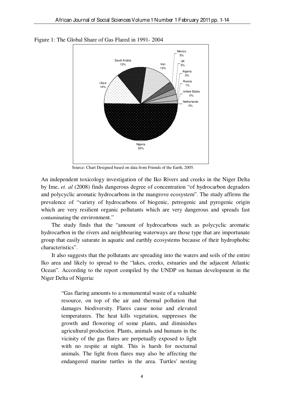

Figure 1: The Global Share of Gas Flared in 1991- 2004

Source: Chart Designed based on data from Friends of the Earth, 2005.

An independent toxicology investigation of the Iko Rivers and creeks in the Niger Delta by Ime, *et. al* (2008) finds dangerous degree of concentration "of hydrocarbon degraders and polycyclic aromatic hydrocarbons in the mangrove ecosystem". The study affirms the prevalence of "variety of hydrocarbons of biogenic, petrogenic and pyrogenic origin which are very resilient organic pollutants which are very dangerous and spreads fast contaminating the environment."

The study finds that the "amount of hydrocarbons such as polycyclic aromatic hydrocarbon in the rivers and neighbouring waterways are those type that are importunate group that easily saturate in aquatic and earthly ecosystems because of their hydrophobic characteristics".

It also suggests that the pollutants are spreading into the waters and soils of the entire Iko area and likely to spread to the "lakes, creeks, estuaries and the adjacent Atlantic Ocean". According to the report compiled by the UNDP on human development in the Niger Delta of Nigeria:

"Gas flaring amounts to a monumental waste of a valuable resource, on top of the air and thermal pollution that damages biodiversity. Flares cause noise and elevated temperatures. The heat kills vegetation, suppresses the growth and flowering of some plants, and diminishes agricultural production. Plants, animals and humans in the vicinity of the gas flares are perpetually exposed to light with no respite at night. This is harsh for nocturnal animals. The light from flares may also be affecting the endangered marine turtles in the area. Turtles' nesting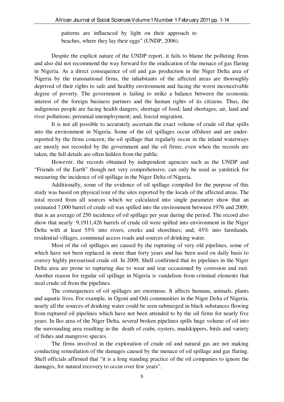patterns are influenced by light on their approach to beaches, where they lay their eggs" (UNDP, 2006).

Despite the explicit nature of the UNDP report, it fails to blame the polluting firms and also did not recommend the way forward for the eradication of the menace of gas flaring in Nigeria. As a direct consequence of oil and gas production in the Niger Delta area of Nigeria by the transnational firms, the inhabitants of the affected areas are thoroughly deprived of their rights to safe and healthy environment and facing the worst inconceivable degree of poverty. The government is failing to strike a balance between the economic interest of the foreign business partners and the human rights of its citizens. Thus, the indigenous people are facing health dangers; shortage of food; land shortages; air, land and river pollutions; perennial unemployment; and, forced migration.

It is not all possible to accurately ascertain the exact volume of crude oil that spills into the environment in Nigeria. Some of the oil spillages occur offshore and are underreported by the firms concern; the oil spillage that regularly occur in the inland waterways are mostly not recorded by the government and the oil firms; even when the records are taken, the full details are often hidden from the public.

However, the records obtained by independent agencies such as the UNDP and "Friends of the Earth" though not very comprehensive, can only be used as yardstick for measuring the incidence of oil spillage in the Niger Delta of Nigeria.

Additionally, some of the evidence of oil spillage compiled for the purpose of this study was based on physical tour of the sites reported by the locals of the affected areas. The total record from all sources which we calculated into single parameter show that an estimated 7,000 barrel of crude oil was spilled into the environment between 1976 and 2009; that is an average of 250 incidence of oil spillage per year during the period. The record also show that nearly 9,1911,426 barrels of crude oil were spilled into environment in the Niger Delta with at least 55% into rivers, creeks and shorelines; and, 45% into farmlands, residential villages, communal access roads and sources of drinking water.

Most of the oil spillages are caused by the rupturing of very old pipelines, some of which have not been replaced in more than forty years and has been used on daily basis to convey highly pressurised crude oil. In 2009, Shell confirmed that its pipelines in the Niger Delta area are prone to rupturing due to wear and tear occasioned by corrosion and rust. Another reason for regular oil spillage in Nigeria is vandalism from criminal elements that steal crude oil from the pipelines.

The consequences of oil spillages are enormous. It affects humans, animals, plants and aquatic lives. For example, in Ogoni and Odi communities in the Niger Delta of Nigeria, nearly all the sources of drinking water could be seen submerged in black substances flowing from ruptured oil pipelines which have not been attended to by the oil firms for nearly five years. In Iko area of the Niger Delta, several broken pipelines spills huge volume of oil into the surrounding area resulting in the death of crabs, oysters, mudskippers, birds and variety of fishes and mangrove species.

The firms involved in the exploration of crude oil and natural gas are not making conducting remediation of the damages caused by the menace of oil spillage and gas flaring. Shell officials affirmed that "it is a long standing practice of the oil companies to ignore the damages, for natural recovery to occur over few years".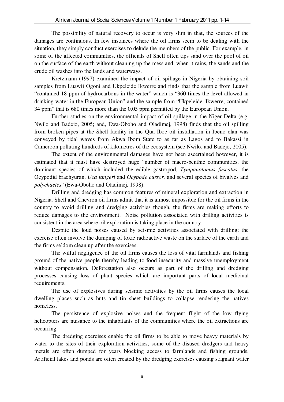The possibility of natural recovery to occur is very slim in that, the sources of the damages are continuous. In few instances where the oil firms seem to be dealing with the situation, they simply conduct exercises to delude the members of the public. For example, in some of the affected communities, the officials of Shell often tips sand over the pool of oil on the surface of the earth without cleaning up the mess and, when it rains, the sands and the crude oil washes into the lands and waterways.

Kretzmann (1997) examined the impact of oil spillage in Nigeria by obtaining soil samples from Luawii Ogoni and Ukpeleide Ikwerre and finds that the sample from Luawii "contained 18 ppm of hydrocarbons in the water" which is "360 times the level allowed in drinking water in the European Union" and the sample from "Ukpeleide, Ikwerre, contained 34 ppm" that is 680 times more than the 0.05 ppm permitted by the European Union.

Further studies on the environmental impact of oil spillage in the Niger Delta (e.g. Nwilo and Badejo, 2005; and, Ewa-Oboho and Oladimej, 1998) finds that the oil spilling from broken pipes at the Shell facility in the Qua Iboe oil installation in Ibeno clan was conveyed by tidal waves from Akwa Ibom State to as far as Lagos and to Bakassi in Cameroon polluting hundreds of kilometres of the ecosystem (see Nwilo, and Badejo, 2005).

The extent of the environmental damages have not been ascertained however, it is estimated that it must have destroyed huge "number of macro-benthic communities, the dominant species of which included the edible gastropod, *Tympanotomus fuscatus*, the Ocypodid brachyuran, *Uca tangeri* and *Ocypode cursor,* and several species of bivalves and *polychaetes*" (Ewa-Oboho and Oladimej, 1998).

Drilling and dredging has common features of mineral exploration and extraction in Nigeria. Shell and Chevron oil firms admit that it is almost impossible for the oil firms in the country to avoid drilling and dredging activities though, the firms are making efforts to reduce damages to the environment. Noise pollution associated with drilling activities is consistent in the area where oil exploration is taking place in the country.

Despite the loud noises caused by seismic activities associated with drilling; the exercise often involve the dumping of toxic radioactive waste on the surface of the earth and the firms seldom clean up after the exercises.

The wilful negligence of the oil firms causes the loss of vital farmlands and fishing ground of the native people thereby leading to food insecurity and massive unemployment without compensation. Deforestation also occurs as part of the drilling and dredging processes causing loss of plant species which are important parts of local medicinal requirements.

The use of explosives during seismic activities by the oil firms causes the local dwelling places such as huts and tin sheet buildings to collapse rendering the natives homeless.

The persistence of explosive noises and the frequent flight of the low flying helicopters are nuisance to the inhabitants of the communities where the oil extractions are occurring.

The dredging exercises enable the oil firms to be able to move heavy materials by water to the sites of their exploration activities, some of the disused dredgers and heavy metals are often dumped for years blocking access to farmlands and fishing grounds. Artificial lakes and ponds are often created by the dredging exercises causing stagnant water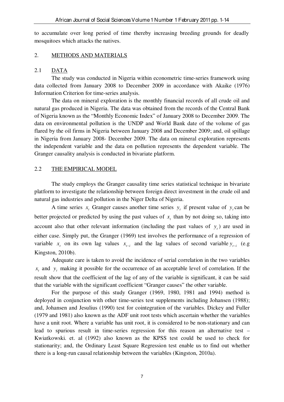to accumulate over long period of time thereby increasing breeding grounds for deadly mosquitoes which attacks the natives.

## 2. METHODS AND MATERIALS

## 2.1 DATA

The study was conducted in Nigeria within econometric time-series framework using data collected from January 2008 to December 2009 in accordance with Akaike (1976) Information Criterion for time-series analysis.

The data on mineral exploration is the monthly financial records of all crude oil and natural gas produced in Nigeria. The data was obtained from the records of the Central Bank of Nigeria known as the "Monthly Economic Index" of January 2008 to December 2009. The data on environmental pollution is the UNDP and World Bank date of the volume of gas flared by the oil firms in Nigeria between January 2008 and December 2009; and, oil spillage in Nigeria from January 2008- December 2009. The data on mineral exploration represents the independent variable and the data on pollution represents the dependent variable. The Granger causality analysis is conducted in bivariate platform.

## 2.2 THE EMPIRICAL MODEL

The study employs the Granger causality time series statistical technique in bivariate platform to investigate the relationship between foreign direct investment in the crude oil and natural gas industries and pollution in the Niger Delta of Nigeria.

A time series  $x_t$  Granger causes another time series  $y_t$  if present value of  $y_t$  can be better projected or predicted by using the past values of  $x_t$  than by not doing so, taking into account also that other relevant information (including the past values of  $y_t$ ) are used in either case. Simply put, the Granger (1969) test involves the performance of a regression of variable  $x_t$  on its own lag values  $x_{t-i}$  and the lag values of second variable  $y_{t-i}$  (e.g Kingston, 2010b).

Adequate care is taken to avoid the incidence of serial correlation in the two variables  $x_t$  and  $y_t$  making it possible for the occurrence of an acceptable level of correlation. If the result show that the coefficient of the lag of any of the variable is significant, it can be said that the variable with the significant coefficient "Granger causes" the other variable.

For the purpose of this study Granger (1969, 1980, 1981 and 1994) method is deployed in conjunction with other time-series test supplements including Johansen (1988); and, Johansen and Jesulius (1990) test for cointegration of the variables. Dickey and Fuller (1979 and 1981) also known as the ADF unit root tests which ascertain whether the variables have a unit root. Where a variable has unit root, it is considered to be non-stationary and can lead to spurious result in time-series regression for this reason an alternative test – Kwiatkowski. et. al (1992) also known as the KPSS test could be used to check for stationarity; and, the Ordinary Least Square Regression test enable us to find out whether there is a long-run causal relationship between the variables (Kingston, 2010a).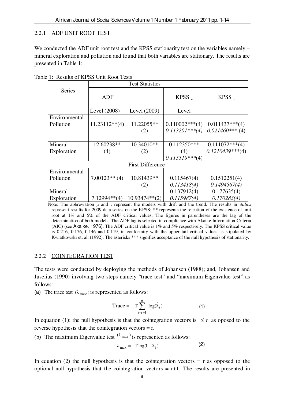## 2.2.1 ADF UNIT ROOT TEST

We conducted the ADF unit root test and the KPSS stationarity test on the variables namely – mineral exploration and pollution and found that both variables are stationary. The results are presented in Table 1:

|                         | <b>Test Statistics</b> |                  |                   |                   |  |  |  |
|-------------------------|------------------------|------------------|-------------------|-------------------|--|--|--|
| <b>Series</b>           |                        |                  |                   |                   |  |  |  |
|                         | <b>ADF</b>             |                  | KPSS <sub>u</sub> | KPSS $_{\tau}$    |  |  |  |
|                         |                        |                  |                   |                   |  |  |  |
|                         | Level (2008)           | Level (2009)     | Level             |                   |  |  |  |
| Environmental           |                        |                  |                   |                   |  |  |  |
| Pollution               | $11.23112**$ (4)       | 11.22055**       | $0.110002***(4)$  | $0.011437***(4)$  |  |  |  |
|                         |                        | (2)              | $0.113201***(4)$  | $0.021460***$ (4) |  |  |  |
|                         |                        |                  |                   |                   |  |  |  |
| Mineral                 | 12.60238**             | 10.34010**       | $0.112350***$     | $0.111072***(4)$  |  |  |  |
| Exploration             | (4)                    | (2)              | (4)               | $0.1210439***(4)$ |  |  |  |
|                         |                        |                  | $0.115519***(4)$  |                   |  |  |  |
| <b>First Difference</b> |                        |                  |                   |                   |  |  |  |
| Environmental           |                        |                  |                   |                   |  |  |  |
| Pollution               | $7.00123**$ (4)        | 10.81439**       | 0.115467(4)       | 0.1512251(4)      |  |  |  |
|                         |                        | (2)              | 0.113418(4)       | 0.1494567(4)      |  |  |  |
| Mineral                 |                        |                  | 0.137912(4)       | 0.177635(4)       |  |  |  |
| Exploration             | $7.12994**$ (4)        | $10.93474**$ (2) | 0.115987(4)       | 0.170283(4)       |  |  |  |

Table 1: Results of KPSS Unit Root Tests

Note: The abbreviation μ and τ represent the models with drift and the trend. The results in *italics* represent results for 2009 data series on the KPSS; \*\* represents the rejection of the existence of unit root at 1% and 5% of the ADF critical values. The figures in parentheses are the lag of the determination of both models. The ADF lag is selected in compliance with Akaike Information Criteria (AIC) (see Akaike, 1976). The ADF critical value is 1% and 5% respectively. The KPSS critical value is 0.216, 0.176, 0.146 and 0.119, in conformity with the upper tail critical values as stipulated by Kwiatkowski et. al. (1992). The asterisks \*\*\* signifies acceptance of the null hypothesis of stationarity.

## 2.2.2 COINTEGRATION TEST

The tests were conducted by deploying the methods of Johansen (1988); and, Johansen and Juselius (1990) involving two steps namely "trace test" and "maximum Eigenvalue test" as follows:

(a) The trace test  $(\lambda_{\text{trace}})$  is represented as follows:

$$
Trace = -T \sum_{i=r+1}^{n} \log(\hat{\lambda}_i)
$$
 (1)

In equation (1); the null hypothesis is that the cointegration vectors is  $\leq r$  as oposed to the reverse hypothesis that the cointegration vectors = r.

(b) The maximum Eigenvalue test  $(\lambda_{\text{max}})$  is represented as follows:

$$
\lambda_{\text{max}} = -T \log(1 - \hat{\lambda}_i) \tag{2}
$$

In equation (2) the null hypothesis is that the cointegration vectors  $= r$  as opposed to the optional null hypothesis that the cointegration vectors  $= r+1$ . The results are presented in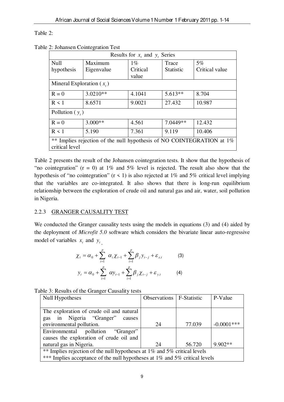Table 2:

Table 2: Johansen Cointegration Test

| Results for $x_t$ , and $y_t$ , Series                                                        |            |          |                  |                |  |  |
|-----------------------------------------------------------------------------------------------|------------|----------|------------------|----------------|--|--|
| Null                                                                                          | Maximum    | $1\%$    | Trace            | 5%             |  |  |
| hypothesis                                                                                    | Eigenvalue | Critical | <b>Statistic</b> | Critical value |  |  |
|                                                                                               |            | value    |                  |                |  |  |
| Mineral Exploration $(x_i)$                                                                   |            |          |                  |                |  |  |
| $R = 0$                                                                                       | $3.0210**$ | 4.1041   | $5.613**$        | 8.704          |  |  |
| $R \leq 1$                                                                                    | 8.6571     | 9.0021   | 27.432           | 10.987         |  |  |
| Pollution $(y_t)$                                                                             |            |          |                  |                |  |  |
| $R = 0$                                                                                       | $3.000**$  | 4.561    | 7.0449**         | 12.432         |  |  |
| $R \leq 1$                                                                                    | 5.190      | 7.361    | 9.119            | 10.406         |  |  |
| $***$<br>Implies rejection of the null hypothesis of NO COINTEGRATION at 1%<br>critical level |            |          |                  |                |  |  |

Table 2 presents the result of the Johansen cointegration tests. It show that the hypothesis of "no cointegration" ( $r = 0$ ) at 1% and 5% level is rejected. The result also show that the hypothesis of "no cointegration" ( $r < 1$ ) is also rejected at 1% and 5% critical level implying that the variables are co-integrated. It also shows that there is long-run equilibrium relationship between the exploration of crude oil and natural gas and air, water, soil pollution in Nigeria.

# 2.2.3 GRANGER CAUSALITY TEST

We conducted the Granger causality tests using the models in equations (3) and (4) aided by the deployment of *Microfit 5.0* software which considers the bivariate linear auto-regressive model of variables  $x_t$  and  $y_t$ .

$$
\chi_{t} = \alpha_{0} + \sum_{i=1}^{p} \alpha_{i} \chi_{t-1} + \sum_{i=1}^{p} \beta_{j} y_{t-j} + \varepsilon_{x,t}
$$
(3)  

$$
y_{t} = \alpha_{0} + \sum_{i=1}^{p} \alpha y_{t-1} + \sum_{i=1}^{p} \beta_{j} \chi_{t-j} + \varepsilon_{y,t}
$$
(4)

Table 3: Results of the Granger Causality tests

| <b>Null Hypotheses</b>                                                     | Observations   F-Statistic |        | P-Value       |  |  |  |
|----------------------------------------------------------------------------|----------------------------|--------|---------------|--|--|--|
|                                                                            |                            |        |               |  |  |  |
| The exploration of crude oil and natural                                   |                            |        |               |  |  |  |
| gas in Nigeria "Granger"<br>causes                                         |                            |        |               |  |  |  |
| environmental pollution.                                                   | 24                         | 77.039 | $-0.0001$ *** |  |  |  |
| pollution "Granger"<br>Environmental                                       |                            |        |               |  |  |  |
| causes the exploration of crude oil and                                    |                            |        |               |  |  |  |
| natural gas in Nigeria.                                                    | 24                         | 56.720 | $9.902**$     |  |  |  |
| ** Implies rejection of the null hypotheses at 1% and 5% critical levels   |                            |        |               |  |  |  |
| *** Implies acceptance of the null hypotheses at 1% and 5% critical levels |                            |        |               |  |  |  |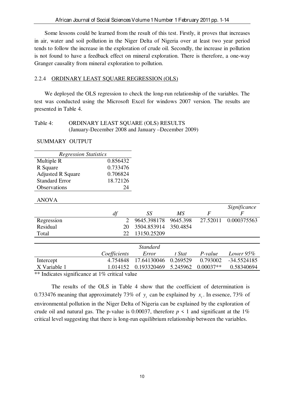Some lessons could be learned from the result of this test. Firstly, it proves that increases in air, water and soil pollution in the Niger Delta of Nigeria over at least two year period tends to follow the increase in the exploration of crude oil. Secondly, the increase in pollution is not found to have a feedback effect on mineral exploration. There is therefore, a one-way Granger causality from mineral exploration to pollution.

# 2.2.4 ORDINARY LEAST SQUARE REGRESSION (OLS)

 We deployed the OLS regression to check the long-run relationship of the variables. The test was conducted using the Microsoft Excel for windows 2007 version. The results are presented in Table 4.

## Table 4: ORDINARY LEAST SOUARE (OLS) RESULTS (January-December 2008 and January –December 2009)

SUMMARY OUTPUT

| <b>Regression Statistics</b> |                      |
|------------------------------|----------------------|
| Multiple R                   | 0.856432             |
| R Square                     | 0.733476             |
| <b>Adjusted R Square</b>     | 0.706824             |
| <b>Standard Error</b>        | 18.72126             |
| Observations                 | $\gamma_{\varDelta}$ |

## ANOVA

|            |    |              |                      |    | Significance         |
|------------|----|--------------|----------------------|----|----------------------|
|            | df |              | SS                   | МS |                      |
| Regression |    |              | 9645.398178 9645.398 |    | 27.52011 0.000375563 |
| Residual   |    | 20           | 3504.853914 350.4854 |    |                      |
| Total      |    | $22^{\circ}$ | 13150.25209          |    |                      |
|            |    |              |                      |    |                      |

|                                                          |              | Standard                                        |        |          |             |
|----------------------------------------------------------|--------------|-------------------------------------------------|--------|----------|-------------|
|                                                          | Coefficients | Error                                           | t Stat | P-value  | Lower 95%   |
| Intercept                                                | 4.754848     | 17.64130046 0.269529                            |        | 0.793002 | -34.5524185 |
| X Variable 1                                             |              | $1.014152$ $0.193320469$ $5.245962$ $0.00037**$ |        |          | 0.58340694  |
| $**$ Indicates significance at $10^\circ$ suiticel value |              |                                                 |        |          |             |

\*\* Indicates significance at 1% critical value

The results of the OLS in Table 4 show that the coefficient of determination is 0.733476 meaning that approximately 73% of  $y_t$  can be explained by  $x_t$ . In essence, 73% of environmental pollution in the Niger Delta of Nigeria can be explained by the exploration of crude oil and natural gas. The p-value is 0.00037, therefore  $p \le 1$  and significant at the 1% critical level suggesting that there is long-run equilibrium relationship between the variables.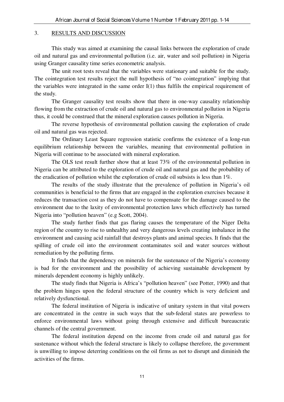## 3. RESULTS AND DISCUSSION

This study was aimed at examining the causal links between the exploration of crude oil and natural gas and environmental pollution (i.e. air, water and soil pollution) in Nigeria using Granger causality time series econometric analysis.

The unit root tests reveal that the variables were stationary and suitable for the study. The cointegration test results reject the null hypothesis of "no cointegration" implying that the variables were integrated in the same order I(1) thus fulfils the empirical requirement of the study.

The Granger causality test results show that there in one-way causality relationship flowing from the extraction of crude oil and natural gas to environmental pollution in Nigeria thus, it could be construed that the mineral exploration causes pollution in Nigeria.

The reverse hypothesis of environmental pollution causing the exploration of crude oil and natural gas was rejected.

The Ordinary Least Square regression statistic confirms the existence of a long-run equilibrium relationship between the variables, meaning that environmental pollution in Nigeria will continue to be associated with mineral exploration.

The OLS test result further show that at least 73% of the environmental pollution in Nigeria can be attributed to the exploration of crude oil and natural gas and the probability of the eradication of pollution whilst the exploration of crude oil subsists is less than 1%.

The results of the study illustrate that the prevalence of pollution in Nigeria's oil communities is beneficial to the firms that are engaged in the exploration exercises because it reduces the transaction cost as they do not have to compensate for the damage caused to the environment due to the laxity of environmental protection laws which effectively has turned Nigeria into "pollution heaven" (e.g Scott, 2004).

The study further finds that gas flaring causes the temperature of the Niger Delta region of the country to rise to unhealthy and very dangerous levels creating imbalance in the environment and causing acid rainfall that destroys plants and animal species. It finds that the spilling of crude oil into the environment contaminates soil and water sources without remediation by the polluting firms.

It finds that the dependency on minerals for the sustenance of the Nigeria's economy is bad for the environment and the possibility of achieving sustainable development by minerals dependent economy is highly unlikely.

The study finds that Nigeria is Africa's "pollution heaven" (see Potter, 1990) and that the problem hinges upon the federal structure of the country which is very deficient and relatively dysfunctional.

The federal institution of Nigeria is indicative of unitary system in that vital powers are concentrated in the centre in such ways that the sub-federal states are powerless to enforce environmental laws without going through extensive and difficult bureaucratic channels of the central government.

The federal institution depend on the income from crude oil and natural gas for sustenance without which the federal structure is likely to collapse therefore, the government is unwilling to impose deterring conditions on the oil firms as not to disrupt and diminish the activities of the firms.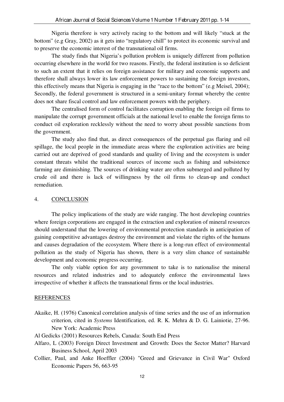Nigeria therefore is very actively racing to the bottom and will likely "stuck at the bottom" (e.g Gray, 2002) as it gets into "regulatory chill" to protect its economic survival and to preserve the economic interest of the transnational oil firms.

The study finds that Nigeria's pollution problem is uniquely different from pollution occurring elsewhere in the world for two reasons. Firstly, the federal institution is so deficient to such an extent that it relies on foreign assistance for military and economic supports and therefore shall always lower its law enforcement powers to sustaining the foreign investors, this effectively means that Nigeria is engaging in the "race to the bottom" (e.g Meisel, 2004); Secondly, the federal government is structured in a semi-unitary format whereby the centre does not share fiscal control and law enforcement powers with the periphery.

The centralised form of control facilitates corruption enabling the foreign oil firms to manipulate the corrupt government officials at the national level to enable the foreign firms to conduct oil exploration recklessly without the need to worry about possible sanctions from the government.

The study also find that, as direct consequences of the perpetual gas flaring and oil spillage, the local people in the immediate areas where the exploration activities are being carried out are deprived of good standards and quality of living and the ecosystem is under constant threats whilst the traditional sources of income such as fishing and subsistence farming are diminishing. The sources of drinking water are often submerged and polluted by crude oil and there is lack of willingness by the oil firms to clean-up and conduct remediation.

## 4. CONCLUSION

The policy implications of the study are wide ranging. The host developing countries where foreign corporations are engaged in the extraction and exploration of mineral resources should understand that the lowering of environmental protection standards in anticipation of gaining competitive advantages destroy the environment and violate the rights of the humans and causes degradation of the ecosystem. Where there is a long-run effect of environmental pollution as the study of Nigeria has shown, there is a very slim chance of sustainable development and economic progress occurring.

The only viable option for any government to take is to nationalise the mineral resources and related industries and to adequately enforce the environmental laws irrespective of whether it affects the transnational firms or the local industries.

#### REFERENCES

- Akaike, H. (1976) Canonical correlation analysis of time series and the use of an information criterion, cited in *Systems* Identification, ed. R. K. Mehra & D. G. Lainiotie, 27-96. New York: Academic Press
- Al Gedicks (2001) Resources Rebels, Canada: South End Press
- Alfaro, L (2003) Foreign Direct Investment and Growth: Does the Sector Matter? Harvard Business School, April 2003
- Collier, Paul, and Anke Hoeffler (2004) "Greed and Grievance in Civil War" Oxford Economic Papers 56, 663-95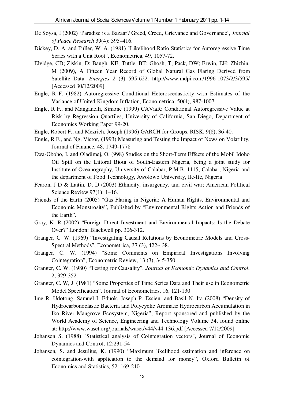- De Soysa, I (2002) 'Paradise is a Bazaar? Greed, Creed, Grievance and Governance', *Journal of Peace Research* 39(4): 395–416.
- Dickey, D. A. and Fuller, W. A. (1981) "Likelihood Ratio Statistics for Autoregressive Time Series with a Unit Root", Econometrica, 49, 1057-72.
- Elvidge, CD; Ziskin, D; Baugh, KE; Tuttle, BT; Ghosh, T; Pack, DW; Erwin, EH; Zhizhin, M (2009), A Fifteen Year Record of Global Natural Gas Flaring Derived from Satellite Data. *Energies 2* (3) 595-622. http://www.mdpi.com/1996-1073/2/3/595/ [Accessed 30/12/2009]
- Engle, R F. (1982) Autoregressive Conditional Heteroscedasticity with Estimates of the Variance of United Kingdom Inflation, Econometrica, 50(4), 987-1007
- Engle, R F., and Manganelli, Simone (1999) CAViaR: Conditional Autoregressive Value at Risk by Regression Quartiles, University of California, San Diego, Department of Economics Working Paper 99-20.
- Engle, Robert F., and Mezrich, Joseph (1996) GARCH for Groups, RISK, 9(8), 36-40.
- Engle, R F., and Ng, Victor, (1993) Measuring and Testing the Impact of News on Volatility, Journal of Finance, 48, 1749-1778
- Ewa-Oboho, I. and Oladimej, O. (998) Studies on the Short-Term Effects of the Mobil Idoho Oil Spill on the Littoral Biota of South-Eastern Nigeria, being a joint study for Institute of Oceanography, University of Calabar, P.M.B. 1115, Calabar, Nigeria and the department of Food Technology, Awolowo University, Ile-Ife, Nigeria
- Fearon, J D & Laitin, D. D (2003) Ethnicity, insurgency, and civil war; American Political Science Review 97(1): 1–16.
- Friends of the Earth (2005) "Gas Flaring in Nigeria: A Human Rights, Environmental and Economic Monstrosity", Published by "Environmental Rights Action and Friends of the Earth".
- Gray, K. R (2002) "Foreign Direct Investment and Environmental Impacts: Is the Debate Over?" London: Blackwell pp. 306-312.
- Granger, C. W. (1969) "Investigating Causal Relations by Econometric Models and Cross-Spectral Methods", Econometrica, 37 (3), 422-438.
- Granger, C. W. (1994) "Some Comments on Empirical Investigations Involving Cointegration", Econometric Review, 13 (3), 345-350
- Granger, C. W. (1980) "Testing for Causality", *Journal of Economic Dynamics and Control*, 2, 329-352.
- Granger, C. W, J. (1981) "Some Properties of Time Series Data and Their use in Econometric Model Specification", Journal of Econometrics, 16, 121-130
- Ime R. Udotong, Samuel I. Eduok, Joseph P. Essien, and Basil N. Ita (2008) "Density of Hydrocarbonoclastic Bacteria and Polycyclic Aromatic Hydrocarbon Accumulation in Iko River Mangrove Ecosystem, Nigeria"; Report sponsored and published by the World Academy of Science, Engineering and Technology Volume 34, found online at: http://www.waset.org/journals/waset/v44/v44-136.pdf [Accessed 7/10/2009]
- Johansen S. (1988) "Statistical analysis of Cointegration vectors", Journal of Economic Dynamics and Control, 12:231-54
- Johansen, S. and Jesulius, K. (1990) "Maximum likelihood estimation and inference on cointegration-with application to the demand for money", Oxford Bulletin of Economics and Statistics, 52: 169-210